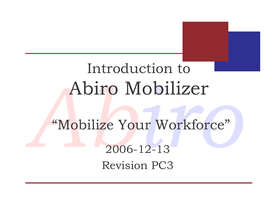## Introduction to Abiro Mobilizer

"Mobilize Your Workforce"  $2006 - 12 - 13$ **Revision PC3**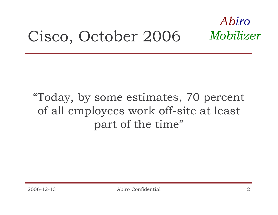#### Abiro Mobilizer Cisco, October 2006

#### "Today, by some estimates, 70 percent of all employees work off-site at least part of the time"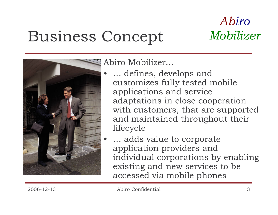## **Business Concept**



Abiro Mobilizer...

- ... defines, develops and customizes fully tested mobile applications and service adaptations in close cooperation with customers, that are supported and maintained throughout their lifecycle
- ... adds value to corporate application providers and individual corporations by enabling existing and new services to be accessed via mobile phones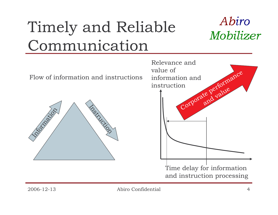# Timely and Reliable Communication



Flow of information and instructions



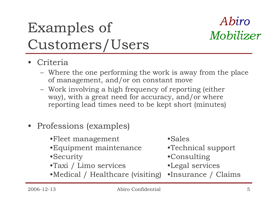## **Examples of** Customers/Users

### Abiro Mobilizer

- Criteria
	- Where the one performing the work is away from the place of management, and/or on constant move
	- Work involving a high frequency of reporting (either way), with a great need for accuracy, and/or where reporting lead times need to be kept short (minutes)
- Professions (examples)
	- •Fleet management
	- Equipment maintenance
	- •Security
	- •Taxi / Limo services
- •Sales
- •Technical support
- •Consulting
- •Legal services
- Medical / Healthcare (visiting) Insurance / Claims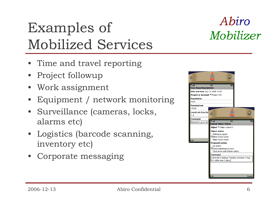## **Examples of** Mobilized Services

- Time and travel reporting
- Project followup
- Work assignment
- Equipment / network monitoring
- Surveillance (cameras, locks, alarms etc)
- Logistics (barcode scanning, inventory etc)
- Corporate messaging



Abiro

Mobilizer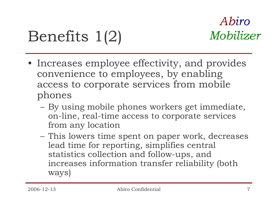# Benefits 1(2)

- Increases employee effectivity, and provides convenience to employees, by enabling access to corporate services from mobile phones
	- By using mobile phones workers get immediate, on-line, real-time access to corporate services from any location
	- This lowers time spent on paper work, decreases lead time for reporting, simplifies central statistics collection and follow-ups, and increases information transfer reliability (both ways)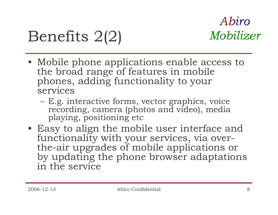## Benefits 2(2)

- Mobile phone applications enable access to the broad range of features in mobile phones, adding functionality to your services
	- E.g. interactive forms, vector graphics, voice recording, camera (photos and video), media playing, positioning etc
- Easy to align the mobile user interface and functionality with your services, via overthe-air upgrades of mobile applications or by updating the phone browser adaptations in the service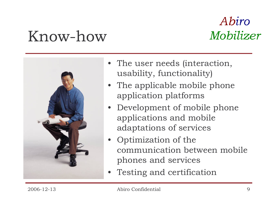## Know-how

#### Abiro Mobilizer



- The user needs (interaction, usability, functionality)
- The applicable mobile phone application platforms
- Development of mobile phone applications and mobile adaptations of services
- Optimization of the communication between mobile phones and services
- Testing and certification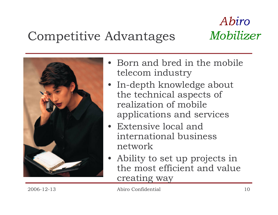### **Competitive Advantages**



- Born and bred in the mobile telecom industry
- In-depth knowledge about the technical aspects of realization of mobile applications and services
- Extensive local and international business network
- Ability to set up projects in the most efficient and value creating way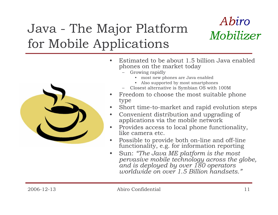### Java - The Major Platform for Mobile Applications





- Estimated to be about 1.5 billion Java enabled phones on the market today
	- Growing rapidly
		- most new phones are Java enabled
		- Also supported by most smartphones
	- Closest alternative is Symbian OS with 100M
- Freedom to choose the most suitable phone type
- Short time-to-market and rapid evolution steps
- Convenient distribution and upgrading of  $\bullet$ applications via the mobile network
- Provides access to local phone functionality, like camera etc.
- Possible to provide both on-line and off-line  $\bullet$ functionality, e.g. for information reporting
- Sun: "The Java ME platform is the most  $\bullet$ pervasive mobile technology across the globe, and is deployed by over 180 operators<br>worldwide on over 1.5 Billion handsets."